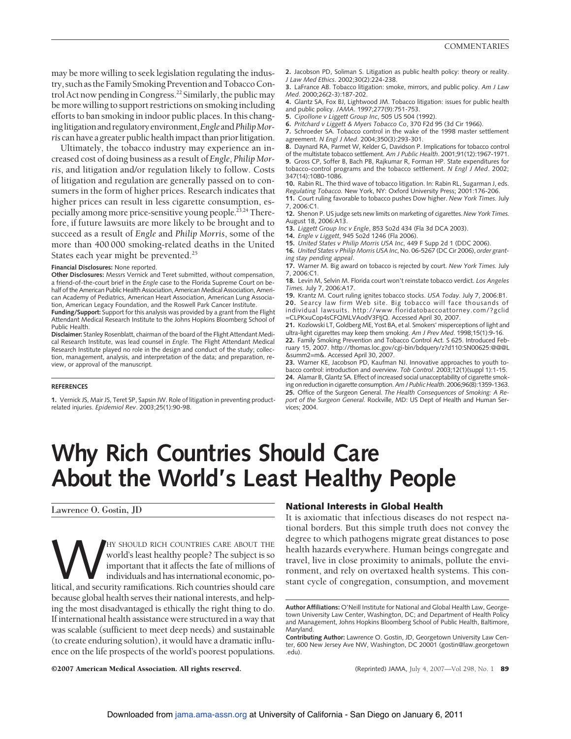may be more willing to seek legislation regulating the industry, such as the Family Smoking Prevention and Tobacco Control Act now pending in Congress.<sup>22</sup> Similarly, the public may be more willing to support restrictions on smoking including efforts to ban smoking in indoor public places. In this changinglitigationand regulatoryenvironment,*Engle*and*PhilipMor*ris can have a greater public health impact than prior litigation.

Ultimately, the tobacco industry may experience an increased cost of doing business as a result of*Engle*, *Philip Morris*, and litigation and/or regulation likely to follow. Costs of litigation and regulation are generally passed on to consumers in the form of higher prices. Research indicates that higher prices can result in less cigarette consumption, especially among more price-sensitive young people.23,24 Therefore, if future lawsuits are more likely to be brought and to succeed as a result of *Engle* and *Philip Morris*, some of the more than 400 000 smoking-related deaths in the United States each year might be prevented.<sup>25</sup>

#### **Financial Disclosures:** None reported.

**Other Disclosures:** Messrs Vernick and Teret submitted, without compensation, a friend-of-the-court brief in the *Engle* case to the Florida Supreme Court on behalf of the American Public Health Association, American Medical Association, American Academy of Pediatrics, American Heart Association, American Lung Association, American Legacy Foundation, and the Roswell Park Cancer Institute.

**Funding/Support:** Support for this analysis was provided by a grant from the Flight Attendant Medical Research Institute to the Johns Hopkins Bloomberg School of Public Health.

**Disclaimer:** Stanley Rosenblatt, chairman of the board of the Flight Attendant Medical Research Institute, was lead counsel in *Engle*. The Flight Attendant Medical Research Institute played no role in the design and conduct of the study; collection, management, analysis, and interpretation of the data; and preparation, review, or approval of the manuscript.

#### **REFERENCES**

**1.** Vernick JS, Mair JS, Teret SP, Sapsin JW. Role of litigation in preventing productrelated injuries. *Epidemiol Rev*. 2003;25(1):90-98.

**2.** Jacobson PD, Soliman S. Litigation as public health policy: theory or reality. *J Law Med Ethics*. 2002;30(2):224-238.

**3.** LaFrance AB. Tobacco litigation: smoke, mirrors, and public policy. *Am J Law Med*. 2000;26(2-3):187-202.

**4.** Glantz SA, Fox BJ, Lightwood JM. Tobacco litigation: issues for public health and public policy. *JAMA*. 1997;277(9):751-753.

**5.** *Cipollone v Liggett Group Inc*, 505 US 504 (1992).

**6.** *Pritchard v Liggett & Myers Tobacco Co*, 370 F2d 95 (3d Cir 1966). **7.** Schroeder SA. Tobacco control in the wake of the 1998 master settlement agreement. *N Engl J Med*. 2004;350(3):293-301.

**8.** Daynard RA, Parmet W, Kelder G, Davidson P. Implications for tobacco control of the multistate tobacco settlement. *Am J Public Health*. 2001;91(12):1967-1971. **9.** Gross CP, Soffer B, Bach PB, Rajkumar R, Forman HP. State expenditures for tobacco-control programs and the tobacco settlement. *N Engl J Med*. 2002; 347(14):1080-1086.

**10.** Rabin RL. The third wave of tobacco litigation. In: Rabin RL, Sugarman J, eds. *Regulating Tobacco.* New York, NY: Oxford University Press; 2001:176-206. **11.** Court ruling favorable to tobacco pushes Dow higher. *New York Times.* July

7, 2006:C1. **12.** Shenon P. US judge sets new limits on marketing of cigarettes. *New York Times.*

August 18, 2006:A13. **13.** *Liggett Group Inc v Engle*, 853 So2d 434 (Fla 3d DCA 2003).

**14.** *Engle v Liggett*, 945 So2d 1246 (Fla 2006).

**15.** *United States v Philip Morris USA Inc*, 449 F Supp 2d 1 (DDC 2006).

**16.** *United States v Philip Morris USA Inc*, No. 06-5267 (DC Cir 2006), *order granting stay pending appeal*.

**17.** Warner M. Big award on tobacco is rejected by court. *New York Times.* July 7, 2006:C1.

**18.** Levin M, Selvin M. Florida court won't reinstate tobacco verdict. *Los Angeles Times.* July 7, 2006:A17.

**19.** Krantz M. Court ruling ignites tobacco stocks. *USA Today.* July 7, 2006:B1. 20. Searcy law firm Web site. Big tobacco will face thousands of individual lawsuits. http://www.floridatobaccoattorney.com/?gclid =CLPKxuCop4sCFQMLVAodV3FtjQ. Accessed April 30, 2007.

**21.** Kozlowski LT, Goldberg ME, Yost BA, et al. Smokers' misperceptions of light and ultra-light cigarettes may keep them smoking. *Am J Prev Med*. 1998;15(1):9-16.

**22.** Family Smoking Prevention and Tobacco Control Act. S 625. Introduced February 15, 2007. http://thomas.loc.gov/cgi-bin/bdquery/z?d110:SN00625:@@@L &summ2=m&. Accessed April 30, 2007.

**23.** Warner KE, Jacobson PD, Kaufman NJ. Innovative approaches to youth tobacco control: introduction and overview. *Tob Control*. 2003;12(1)(suppl 1):1-15. **24.** Alamar B, Glantz SA. Effect of increased social unacceptability of cigarette smoking on reduction in cigarette consumption.*Am J Public Health*. 2006;96(8):1359-1363. **25.** Office of the Surgeon General. *The Health Consequences of Smoking: A Report of the Surgeon General.* Rockville, MD: US Dept of Health and Human Services; 2004.

# **Why Rich Countries Should Care About the World's Least Healthy People**

Lawrence O. Gostin, JD

WHY SHOULD RICH COUNTRIES CARE ABOUT THE world's least healthy people? The subject is so important that it affects the fate of millions of individuals and has international economic, political, and security ramifications. world's least healthy people? The subject is so important that it affects the fate of millions of individuals and has international economic, pobecause global health serves their national interests, and helping the most disadvantaged is ethically the right thing to do. If international health assistance were structured in a way that was scalable (sufficient to meet deep needs) and sustainable (to create enduring solution), it would have a dramatic influence on the life prospects of the world's poorest populations.

## National Interests in Global Health

It is axiomatic that infectious diseases do not respect national borders. But this simple truth does not convey the degree to which pathogens migrate great distances to pose health hazards everywhere. Human beings congregate and travel, live in close proximity to animals, pollute the environment, and rely on overtaxed health systems. This constant cycle of congregation, consumption, and movement

©2007 American Medical Association. All rights reserved. (Reprinted) JAMA, July 4, 2007—Vol 298, No. 1 89

**Author Affiliations:** O'Neill Institute for National and Global Health Law, Georgetown University Law Center, Washington, DC; and Department of Health Policy and Management, Johns Hopkins Bloomberg School of Public Health, Baltimore, Maryland.

**Contributing Author:** Lawrence O. Gostin, JD, Georgetown University Law Center, 600 New Jersey Ave NW, Washington, DC 20001 (gostin@law.georgetown .edu).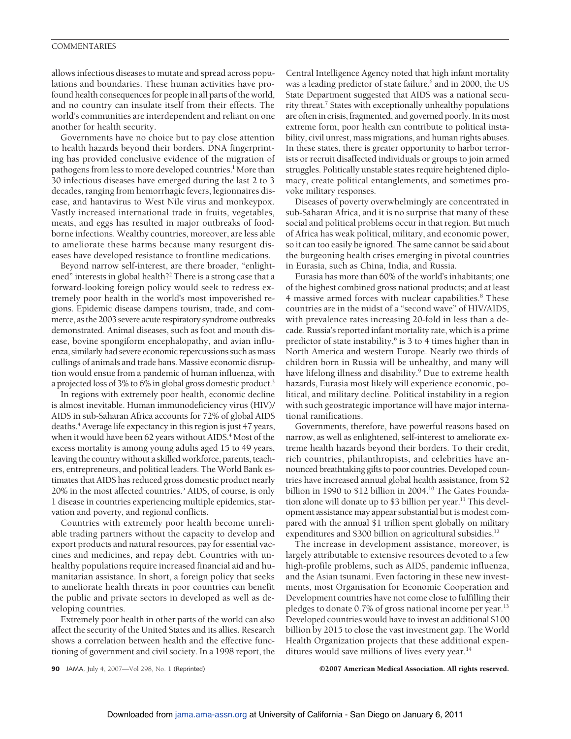### COMMENTARIES

allows infectious diseases to mutate and spread across populations and boundaries. These human activities have profound health consequences for people in all parts of the world, and no country can insulate itself from their effects. The world's communities are interdependent and reliant on one another for health security.

Governments have no choice but to pay close attention to health hazards beyond their borders. DNA fingerprinting has provided conclusive evidence of the migration of pathogens from less to more developed countries.<sup>1</sup> More than 30 infectious diseases have emerged during the last 2 to 3 decades, ranging from hemorrhagic fevers, legionnaires disease, and hantavirus to West Nile virus and monkeypox. Vastly increased international trade in fruits, vegetables, meats, and eggs has resulted in major outbreaks of foodborne infections. Wealthy countries, moreover, are less able to ameliorate these harms because many resurgent diseases have developed resistance to frontline medications.

Beyond narrow self-interest, are there broader, "enlightened" interests in global health?<sup>2</sup> There is a strong case that a forward-looking foreign policy would seek to redress extremely poor health in the world's most impoverished regions. Epidemic disease dampens tourism, trade, and commerce, as the 2003 severe acute respiratory syndrome outbreaks demonstrated. Animal diseases, such as foot and mouth disease, bovine spongiform encephalopathy, and avian influenza, similarly had severe economic repercussions such asmass cullings of animals and trade bans. Massive economic disruption would ensue from a pandemic of human influenza, with a projected loss of 3% to 6% in global gross domestic product.3

In regions with extremely poor health, economic decline is almost inevitable. Human immunodeficiency virus (HIV)/ AIDS in sub-Saharan Africa accounts for 72% of global AIDS deaths.<sup>4</sup> Average life expectancy in this region is just 47 years, when it would have been 62 years without AIDS.<sup>4</sup> Most of the excess mortality is among young adults aged 15 to 49 years, leaving the country without a skilled workforce, parents, teachers, entrepreneurs, and political leaders. The World Bank estimates that AIDS has reduced gross domestic product nearly 20% in the most affected countries.5 AIDS, of course, is only 1 disease in countries experiencing multiple epidemics, starvation and poverty, and regional conflicts.

Countries with extremely poor health become unreliable trading partners without the capacity to develop and export products and natural resources, pay for essential vaccines and medicines, and repay debt. Countries with unhealthy populations require increased financial aid and humanitarian assistance. In short, a foreign policy that seeks to ameliorate health threats in poor countries can benefit the public and private sectors in developed as well as developing countries.

Extremely poor health in other parts of the world can also affect the security of the United States and its allies. Research shows a correlation between health and the effective functioning of government and civil society. In a 1998 report, the Central Intelligence Agency noted that high infant mortality was a leading predictor of state failure,<sup>6</sup> and in 2000, the US State Department suggested that AIDS was a national security threat.<sup>7</sup> States with exceptionally unhealthy populations are often in crisis, fragmented, and governed poorly. In its most extreme form, poor health can contribute to political instability, civil unrest, mass migrations, and human rights abuses. In these states, there is greater opportunity to harbor terrorists or recruit disaffected individuals or groups to join armed struggles. Politically unstable states require heightened diplomacy, create political entanglements, and sometimes provoke military responses.

Diseases of poverty overwhelmingly are concentrated in sub-Saharan Africa, and it is no surprise that many of these social and political problems occur in that region. But much of Africa has weak political, military, and economic power, so it can too easily be ignored. The same cannot be said about the burgeoning health crises emerging in pivotal countries in Eurasia, such as China, India, and Russia.

Eurasia has more than 60% of the world's inhabitants; one of the highest combined gross national products; and at least 4 massive armed forces with nuclear capabilities.<sup>8</sup> These countries are in the midst of a "second wave" of HIV/AIDS, with prevalence rates increasing 20-fold in less than a decade. Russia's reported infant mortality rate, which is a prime predictor of state instability, $6$  is 3 to 4 times higher than in North America and western Europe. Nearly two thirds of children born in Russia will be unhealthy, and many will have lifelong illness and disability.<sup>9</sup> Due to extreme health hazards, Eurasia most likely will experience economic, political, and military decline. Political instability in a region with such geostrategic importance will have major international ramifications.

Governments, therefore, have powerful reasons based on narrow, as well as enlightened, self-interest to ameliorate extreme health hazards beyond their borders. To their credit, rich countries, philanthropists, and celebrities have announced breathtaking gifts to poor countries. Developed countries have increased annual global health assistance, from \$2 billion in 1990 to \$12 billion in 2004.<sup>10</sup> The Gates Foundation alone will donate up to \$3 billion per year.<sup>11</sup> This development assistance may appear substantial but is modest compared with the annual \$1 trillion spent globally on military expenditures and \$300 billion on agricultural subsidies. $^{12}$ 

The increase in development assistance, moreover, is largely attributable to extensive resources devoted to a few high-profile problems, such as AIDS, pandemic influenza, and the Asian tsunami. Even factoring in these new investments, most Organisation for Economic Cooperation and Development countries have not come close to fulfilling their pledges to donate 0.7% of gross national income per year.<sup>13</sup> Developed countries would have to invest an additional \$100 billion by 2015 to close the vast investment gap. The World Health Organization projects that these additional expenditures would save millions of lives every year.<sup>14</sup>

90 JAMA, July 4, 2007—Vol 298, No. 1 (Reprinted) **C2007 American Medical Association. All rights reserved.**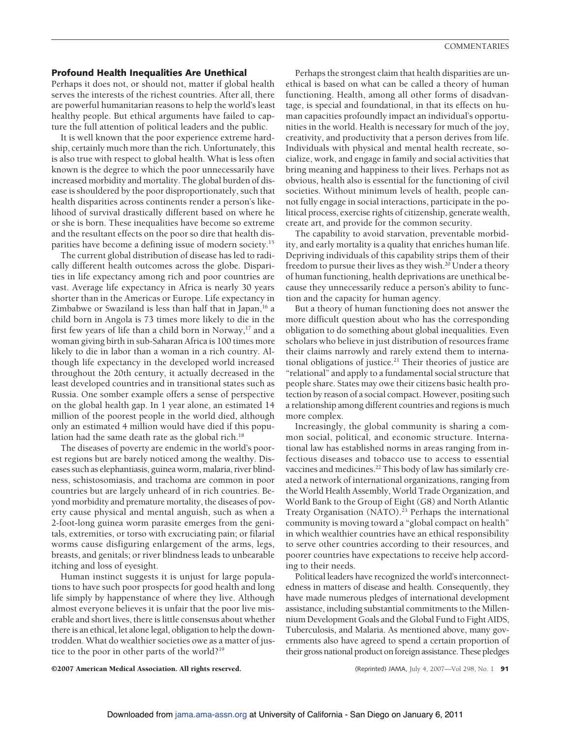## Profound Health Inequalities Are Unethical

Perhaps it does not, or should not, matter if global health serves the interests of the richest countries. After all, there are powerful humanitarian reasons to help the world's least healthy people. But ethical arguments have failed to capture the full attention of political leaders and the public.

It is well known that the poor experience extreme hardship, certainly much more than the rich. Unfortunately, this is also true with respect to global health. What is less often known is the degree to which the poor unnecessarily have increased morbidity and mortality. The global burden of disease is shouldered by the poor disproportionately, such that health disparities across continents render a person's likelihood of survival drastically different based on where he or she is born. These inequalities have become so extreme and the resultant effects on the poor so dire that health disparities have become a defining issue of modern society.<sup>15</sup>

The current global distribution of disease has led to radically different health outcomes across the globe. Disparities in life expectancy among rich and poor countries are vast. Average life expectancy in Africa is nearly 30 years shorter than in the Americas or Europe. Life expectancy in Zimbabwe or Swaziland is less than half that in Japan, $16$  a child born in Angola is 73 times more likely to die in the first few years of life than a child born in Norway, $17$  and a woman giving birth in sub-Saharan Africa is 100 times more likely to die in labor than a woman in a rich country. Although life expectancy in the developed world increased throughout the 20th century, it actually decreased in the least developed countries and in transitional states such as Russia. One somber example offers a sense of perspective on the global health gap. In 1 year alone, an estimated 14 million of the poorest people in the world died, although only an estimated 4 million would have died if this population had the same death rate as the global rich.<sup>18</sup>

The diseases of poverty are endemic in the world's poorest regions but are barely noticed among the wealthy. Diseases such as elephantiasis, guinea worm, malaria, river blindness, schistosomiasis, and trachoma are common in poor countries but are largely unheard of in rich countries. Beyond morbidity and premature mortality, the diseases of poverty cause physical and mental anguish, such as when a 2-foot-long guinea worm parasite emerges from the genitals, extremities, or torso with excruciating pain; or filarial worms cause disfiguring enlargement of the arms, legs, breasts, and genitals; or river blindness leads to unbearable itching and loss of eyesight.

Human instinct suggests it is unjust for large populations to have such poor prospects for good health and long life simply by happenstance of where they live. Although almost everyone believes it is unfair that the poor live miserable and short lives, there is little consensus about whether there is an ethical, let alone legal, obligation to help the downtrodden. What do wealthier societies owe as a matter of justice to the poor in other parts of the world?19

Perhaps the strongest claim that health disparities are unethical is based on what can be called a theory of human functioning. Health, among all other forms of disadvantage, is special and foundational, in that its effects on human capacities profoundly impact an individual's opportunities in the world. Health is necessary for much of the joy, creativity, and productivity that a person derives from life. Individuals with physical and mental health recreate, socialize, work, and engage in family and social activities that bring meaning and happiness to their lives. Perhaps not as obvious, health also is essential for the functioning of civil societies. Without minimum levels of health, people cannot fully engage in social interactions, participate in the political process, exercise rights of citizenship, generate wealth, create art, and provide for the common security.

The capability to avoid starvation, preventable morbidity, and early mortality is a quality that enriches human life. Depriving individuals of this capability strips them of their freedom to pursue their lives as they wish.<sup>20</sup> Under a theory of human functioning, health deprivations are unethical because they unnecessarily reduce a person's ability to function and the capacity for human agency.

But a theory of human functioning does not answer the more difficult question about who has the corresponding obligation to do something about global inequalities. Even scholars who believe in just distribution of resources frame their claims narrowly and rarely extend them to international obligations of justice.<sup>21</sup> Their theories of justice are "relational" and apply to a fundamental social structure that people share. States may owe their citizens basic health protection by reason of a social compact. However, positing such a relationship among different countries and regions is much more complex.

Increasingly, the global community is sharing a common social, political, and economic structure. International law has established norms in areas ranging from infectious diseases and tobacco use to access to essential vaccines and medicines.<sup>22</sup> This body of law has similarly created a network of international organizations, ranging from the World Health Assembly, World Trade Organization, and World Bank to the Group of Eight (G8) and North Atlantic Treaty Organisation (NATO).<sup>23</sup> Perhaps the international community is moving toward a "global compact on health" in which wealthier countries have an ethical responsibility to serve other countries according to their resources, and poorer countries have expectations to receive help according to their needs.

Political leaders have recognized the world's interconnectedness in matters of disease and health. Consequently, they have made numerous pledges of international development assistance, including substantial commitments to the Millennium Development Goals and the Global Fund to Fight AIDS, Tuberculosis, and Malaria. As mentioned above, many governments also have agreed to spend a certain proportion of their gross national product on foreign assistance. These pledges

©2007 American Medical Association. All rights reserved. (Reprinted) JAMA, July 4, 2007—Vol 298, No. 1 91